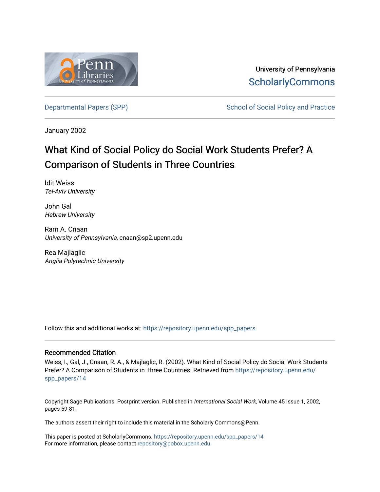

University of Pennsylvania **ScholarlyCommons** 

[Departmental Papers \(SPP\)](https://repository.upenn.edu/spp_papers) School of Social Policy and Practice

January 2002

# What Kind of Social Policy do Social Work Students Prefer? A Comparison of Students in Three Countries

Idit Weiss Tel-Aviv University

John Gal Hebrew University

Ram A. Cnaan University of Pennsylvania, cnaan@sp2.upenn.edu

Rea Majlaglic Anglia Polytechnic University

Follow this and additional works at: [https://repository.upenn.edu/spp\\_papers](https://repository.upenn.edu/spp_papers?utm_source=repository.upenn.edu%2Fspp_papers%2F14&utm_medium=PDF&utm_campaign=PDFCoverPages) 

### Recommended Citation

Weiss, I., Gal, J., Cnaan, R. A., & Majlaglic, R. (2002). What Kind of Social Policy do Social Work Students Prefer? A Comparison of Students in Three Countries. Retrieved from [https://repository.upenn.edu/](https://repository.upenn.edu/spp_papers/14?utm_source=repository.upenn.edu%2Fspp_papers%2F14&utm_medium=PDF&utm_campaign=PDFCoverPages) [spp\\_papers/14](https://repository.upenn.edu/spp_papers/14?utm_source=repository.upenn.edu%2Fspp_papers%2F14&utm_medium=PDF&utm_campaign=PDFCoverPages) 

Copyright Sage Publications. Postprint version. Published in International Social Work, Volume 45 Issue 1, 2002, pages 59-81.

The authors assert their right to include this material in the Scholarly Commons@Penn.

This paper is posted at ScholarlyCommons. [https://repository.upenn.edu/spp\\_papers/14](https://repository.upenn.edu/spp_papers/14)  For more information, please contact [repository@pobox.upenn.edu.](mailto:repository@pobox.upenn.edu)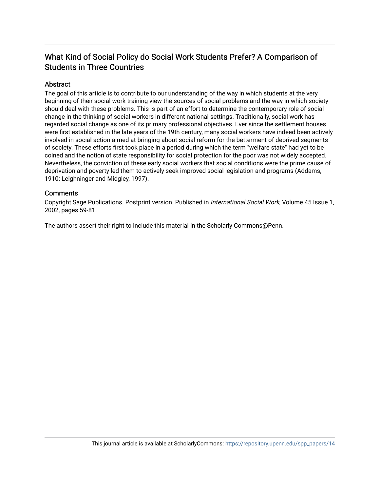# What Kind of Social Policy do Social Work Students Prefer? A Comparison of Students in Three Countries

# **Abstract**

The goal of this article is to contribute to our understanding of the way in which students at the very beginning of their social work training view the sources of social problems and the way in which society should deal with these problems. This is part of an effort to determine the contemporary role of social change in the thinking of social workers in different national settings. Traditionally, social work has regarded social change as one of its primary professional objectives. Ever since the settlement houses were first established in the late years of the 19th century, many social workers have indeed been actively involved in social action aimed at bringing about social reform for the betterment of deprived segments of society. These efforts first took place in a period during which the term "welfare state" had yet to be coined and the notion of state responsibility for social protection for the poor was not widely accepted. Nevertheless, the conviction of these early social workers that social conditions were the prime cause of deprivation and poverty led them to actively seek improved social legislation and programs (Addams, 1910: Leighninger and Midgley, 1997).

# **Comments**

Copyright Sage Publications. Postprint version. Published in International Social Work, Volume 45 Issue 1, 2002, pages 59-81.

The authors assert their right to include this material in the Scholarly Commons@Penn.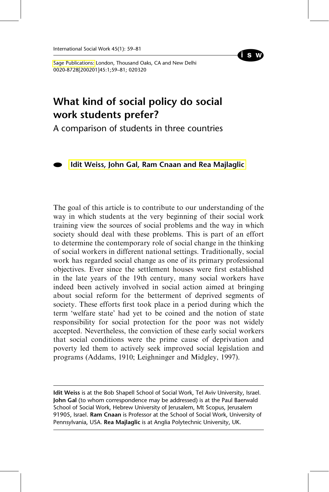Sage Publications: London, Thousand Oaks, CA and New Delhi 0020-8728[200201]45:1:59-81: 020320

# What kind of social policy do social work students prefer?

S

A comparison of students in three countries

#### Idit Weiss, John Gal, Ram Cnaan and Rea Majlaglic

The goal of this article is to contribute to our understanding of the way in which students at the very beginning of their social work training view the sources of social problems and the way in which society should deal with these problems. This is part of an effort to determine the contemporary role of social change in the thinking of social workers in different national settings. Traditionally, social work has regarded social change as one of its primary professional objectives. Ever since the settlement houses were first established in the late years of the 19th century, many social workers have indeed been actively involved in social action aimed at bringing about social reform for the betterment of deprived segments of society. These efforts first took place in a period during which the term 'welfare state' had yet to be coined and the notion of state responsibility for social protection for the poor was not widely accepted. Nevertheless, the conviction of these early social workers that social conditions were the prime cause of deprivation and poverty led them to actively seek improved social legislation and programs (Addams, 1910; Leighninger and Midgley, 1997).

Idit Weiss is at the Bob Shapell School of Social Work, Tel Aviv University, Israel. John Gal (to whom correspondence may be addressed) is at the Paul Baerwald School of Social Work, Hebrew University of Jerusalem, Mt Scopus, Jerusalem 91905, Israel. Ram Cnaan is Professor at the School of Social Work, University of Pennsylvania, USA. Rea Majlaglic is at Anglia Polytechnic University, UK.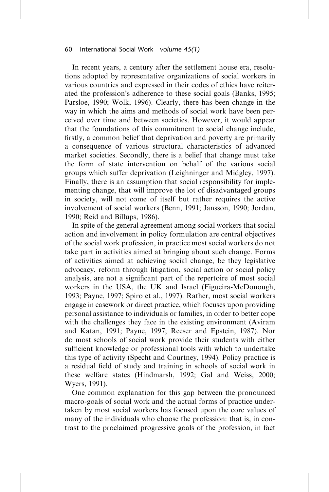In recent years, a century after the settlement house era, resolutions adopted by representative organizations of social workers in various countries and expressed in their codes of ethics have reiterated the profession's adherence to these social goals (Banks, 1995; Parsloe, 1990; Wolk, 1996). Clearly, there has been change in the way in which the aims and methods of social work have been perceived over time and between societies. However, it would appear that the foundations of this commitment to social change include, firstly, a common belief that deprivation and poverty are primarily a consequence of various structural characteristics of advanced market societies. Secondly, there is a belief that change must take the form of state intervention on behalf of the various social groups which suffer deprivation (Leighninger and Midgley, 1997). Finally, there is an assumption that social responsibility for implementing change, that will improve the lot of disadvantaged groups in society, will not come of itself but rather requires the active involvement of social workers (Benn, 1991; Jansson, 1990; Jordan, 1990; Reid and Billups, 1986).

In spite of the general agreement among social workers that social action and involvement in policy formulation are central objectives of the social work profession, in practice most social workers do not take part in activities aimed at bringing about such change. Forms of activities aimed at achieving social change, be they legislative advocacy, reform through litigation, social action or social policy analysis, are not a significant part of the repertoire of most social workers in the USA, the UK and Israel (Figueira-McDonough, 1993; Payne, 1997; Spiro et al., 1997). Rather, most social workers engage in casework or direct practice, which focuses upon providing personal assistance to individuals or families, in order to better cope with the challenges they face in the existing environment (Aviram and Katan, 1991; Payne, 1997; Reeser and Epstein, 1987). Nor do most schools of social work provide their students with either sufficient knowledge or professional tools with which to undertake this type of activity (Specht and Courtney, 1994). Policy practice is a residual field of study and training in schools of social work in these welfare states (Hindmarsh, 1992; Gal and Weiss, 2000; Wyers, 1991).

One common explanation for this gap between the pronounced macro-goals of social work and the actual forms of practice undertaken by most social workers has focused upon the core values of many of the individuals who choose the profession: that is, in contrast to the proclaimed progressive goals of the profession, in fact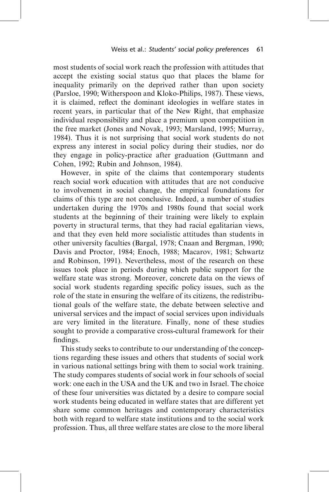most students of social work reach the profession with attitudes that accept the existing social status quo that places the blame for inequality primarily on the deprived rather than upon society (Parsloe, 1990; Witherspoon and Kloko-Philips, 1987). These views, it is claimed, reflect the dominant ideologies in welfare states in recent years, in particular that of the New Right, that emphasize individual responsibility and place a premium upon competition in the free market (Jones and Novak, 1993; Marsland, 1995; Murray, 1984). Thus it is not surprising that social work students do not express any interest in social policy during their studies, nor do they engage in policy-practice after graduation (Guttmann and Cohen, 1992: Rubin and Johnson, 1984).

However, in spite of the claims that contemporary students reach social work education with attitudes that are not conducive to involvement in social change, the empirical foundations for claims of this type are not conclusive. Indeed, a number of studies undertaken during the 1970s and 1980s found that social work students at the beginning of their training were likely to explain poverty in structural terms, that they had racial egalitarian views, and that they even held more socialistic attitudes than students in other university faculties (Bargal, 1978; Cnaan and Bergman, 1990; Davis and Proctor, 1984; Enoch, 1988; Macarov, 1981; Schwartz and Robinson, 1991). Nevertheless, most of the research on these issues took place in periods during which public support for the welfare state was strong. Moreover, concrete data on the views of social work students regarding specific policy issues, such as the role of the state in ensuring the welfare of its citizens, the redistributional goals of the welfare state, the debate between selective and universal services and the impact of social services upon individuals are very limited in the literature. Finally, none of these studies sought to provide a comparative cross-cultural framework for their findings.

This study seeks to contribute to our understanding of the conceptions regarding these issues and others that students of social work in various national settings bring with them to social work training. The study compares students of social work in four schools of social work; one each in the USA and the UK and two in Israel. The choice of these four universities was dictated by a desire to compare social work students being educated in welfare states that are different yet share some common heritages and contemporary characteristics both with regard to welfare state institutions and to the social work profession. Thus, all three welfare states are close to the more liberal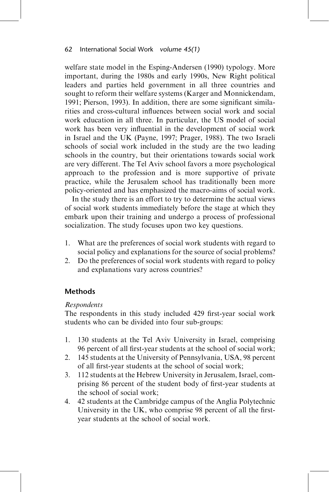welfare state model in the Esping-Andersen (1990) typology. More important, during the 1980s and early 1990s, New Right political leaders and parties held government in all three countries and sought to reform their welfare systems (Karger and Monnickendam, 1991; Pierson, 1993). In addition, there are some significant similarities and cross-cultural influences between social work and social work education in all three. In particular, the US model of social work has been very influential in the development of social work in Israel and the UK (Payne, 1997; Prager, 1988). The two Israeli schools of social work included in the study are the two leading schools in the country, but their orientations towards social work are very different. The Tel Aviv school favors a more psychological approach to the profession and is more supportive of private practice, while the Jerusalem school has traditionally been more policy-oriented and has emphasized the macro-aims of social work.

In the study there is an effort to try to determine the actual views of social work students immediately before the stage at which they embark upon their training and undergo a process of professional socialization. The study focuses upon two key questions.

- $1<sub>1</sub>$ What are the preferences of social work students with regard to social policy and explanations for the source of social problems?
- Do the preferences of social work students with regard to policy  $\overline{2}$ . and explanations vary across countries?

# **Methods**

#### Respondents

The respondents in this study included 429 first-year social work students who can be divided into four sub-groups:

- 130 students at the Tel Aviv University in Israel, comprising 1. 96 percent of all first-year students at the school of social work;
- 2. 145 students at the University of Pennsylvania, USA, 98 percent of all first-year students at the school of social work;
- 112 students at the Hebrew University in Jerusalem, Israel, com-3. prising 86 percent of the student body of first-year students at the school of social work:
- $4.$ 42 students at the Cambridge campus of the Anglia Polytechnic University in the UK, who comprise 98 percent of all the firstyear students at the school of social work.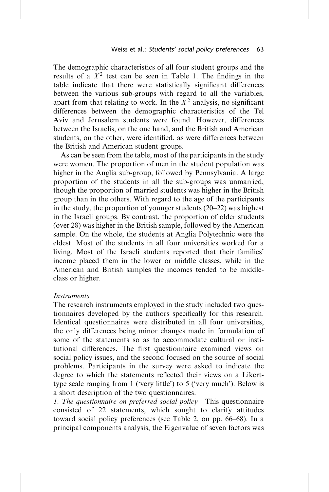The demographic characteristics of all four student groups and the results of a  $X^2$  test can be seen in Table 1. The findings in the table indicate that there were statistically significant differences between the various sub-groups with regard to all the variables, apart from that relating to work. In the  $\overline{X}^2$  analysis, no significant differences between the demographic characteristics of the Tel Aviv and Jerusalem students were found. However, differences between the Israelis, on the one hand, and the British and American students, on the other, were identified, as were differences between the British and American student groups.

As can be seen from the table, most of the participants in the study were women. The proportion of men in the student population was higher in the Anglia sub-group, followed by Pennsylvania. A large proportion of the students in all the sub-groups was unmarried. though the proportion of married students was higher in the British group than in the others. With regard to the age of the participants in the study, the proportion of younger students  $(20-22)$  was highest in the Israeli groups. By contrast, the proportion of older students (over 28) was higher in the British sample, followed by the American sample. On the whole, the students at Anglia Polytechnic were the eldest. Most of the students in all four universities worked for a living. Most of the Israeli students reported that their families' income placed them in the lower or middle classes, while in the American and British samples the incomes tended to be middleclass or higher.

#### **Instruments**

The research instruments employed in the study included two questionnaires developed by the authors specifically for this research. Identical questionnaires were distributed in all four universities, the only differences being minor changes made in formulation of some of the statements so as to accommodate cultural or institutional differences. The first questionnaire examined views on social policy issues, and the second focused on the source of social problems. Participants in the survey were asked to indicate the degree to which the statements reflected their views on a Likerttype scale ranging from 1 ('very little') to 5 ('very much'). Below is a short description of the two questionnaires.

1. The questionnaire on preferred social policy This questionnaire consisted of 22 statements, which sought to clarify attitudes toward social policy preferences (see Table 2, on pp. 66–68). In a principal components analysis, the Eigenvalue of seven factors was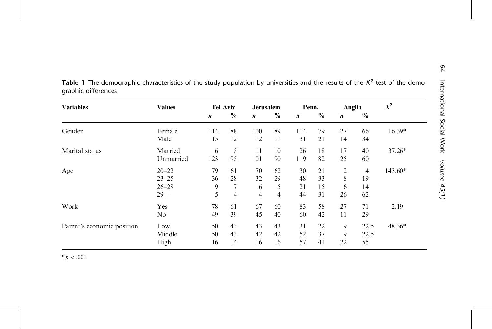| <b>Variables</b>           | <b>Values</b>  | <b>Tel Aviv</b> |               | <b>Jerusalem</b> |               | Penn. |               | Anglia           |               | $X^2$    |
|----------------------------|----------------|-----------------|---------------|------------------|---------------|-------|---------------|------------------|---------------|----------|
|                            |                | n               | $\frac{0}{0}$ | n                | $\frac{0}{0}$ | n     | $\frac{0}{0}$ | $\boldsymbol{n}$ | $\frac{0}{0}$ |          |
| Gender                     | Female         | 114             | 88            | 100              | 89            | 114   | 79            | 27               | 66            | 16.39*   |
|                            | Male           | 15              | 12            | 12               | 11            | 31    | 21            | 14               | 34            |          |
| Marital status             | Married        | 6               | 5             | 11               | 10            | 26    | 18            | 17               | 40            | $37.26*$ |
|                            | Unmarried      | 123             | 95            | 101              | 90            | 119   | 82            | 25               | 60            |          |
| Age                        | $20 - 22$      | 79              | 61            | 70               | 62            | 30    | 21            | 2                | 4             | 143.60*  |
|                            | $23 - 25$      | 36              | 28            | 32               | 29            | 48    | 33            | 8                | 19            |          |
|                            | $26 - 28$      | 9               | 7             | 6                | 5             | 21    | 15            | 6                | 14            |          |
|                            | $29+$          | 5               | 4             | $\overline{4}$   | 4             | 44    | 31            | 26               | 62            |          |
| Work                       | Yes            | 78              | 61            | 67               | 60            | 83    | 58            | 27               | 71            | 2.19     |
|                            | N <sub>0</sub> | 49              | 39            | 45               | 40            | 60    | 42            | 11               | 29            |          |
| Parent's economic position | Low            | 50              | 43            | 43               | 43            | 31    | 22            | 9                | 22.5          | 48.36*   |
|                            | Middle         | 50              | 43            | 42               | 42            | 52    | 37            | 9                | 22.5          |          |
|                            | High           | 16              | 14            | 16               | 16            | 57    | 41            | 22               | 55            |          |

Table 1 The demographic characteristics of the study population by universities and the results of the  $X^2$  test of the demographic differences

 $*_{p}$  < .001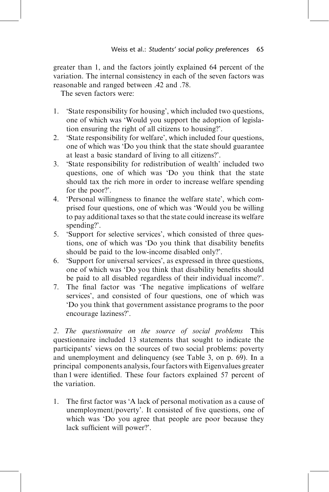greater than 1, and the factors jointly explained 64 percent of the variation. The internal consistency in each of the seven factors was reasonable and ranged between .42 and .78.

The seven factors were:

- 1. 'State responsibility for housing', which included two questions, one of which was 'Would you support the adoption of legislation ensuring the right of all citizens to housing?'.
- 'State responsibility for welfare', which included four questions, 2. one of which was 'Do you think that the state should guarantee at least a basic standard of living to all citizens?'.
- 'State responsibility for redistribution of wealth' included two  $3.$ questions, one of which was 'Do you think that the state should tax the rich more in order to increase welfare spending for the poor?'.
- 4. 'Personal willingness to finance the welfare state', which comprised four questions, one of which was 'Would you be willing to pay additional taxes so that the state could increase its welfare spending?'.
- 'Support for selective services', which consisted of three ques- $5.$ tions, one of which was 'Do you think that disability benefits should be paid to the low-income disabled only?'.
- 'Support for universal services', as expressed in three questions, 6. one of which was 'Do you think that disability benefits should be paid to all disabled regardless of their individual income?'.
- 7. The final factor was 'The negative implications of welfare services', and consisted of four questions, one of which was 'Do you think that government assistance programs to the poor encourage laziness?'.

2. The questionnaire on the source of social problems This questionnaire included 13 statements that sought to indicate the participants' views on the sources of two social problems: poverty and unemployment and delinquency (see Table 3, on p. 69). In a principal components analysis, four factors with Eigenvalues greater than I were identified. These four factors explained 57 percent of the variation

The first factor was 'A lack of personal motivation as a cause of  $1.$ unemployment/poverty'. It consisted of five questions, one of which was 'Do you agree that people are poor because they lack sufficient will power?'.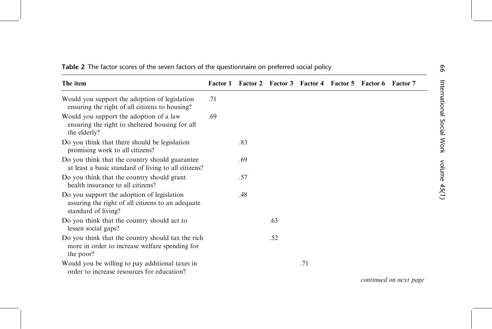| The item                                                                                                               | <b>Factor 1</b> |     | Factor 2 Factor 3 Factor 4 Factor 5 Factor 6 Factor 7 |     |  |  |
|------------------------------------------------------------------------------------------------------------------------|-----------------|-----|-------------------------------------------------------|-----|--|--|
| Would you support the adoption of legislation<br>ensuring the right of all citizens to housing?                        | .71             |     |                                                       |     |  |  |
| Would you support the adoption of a law<br>ensuring the right to sheltered housing for all<br>the elderly?             | .69             |     |                                                       |     |  |  |
| Do you think that there should be legislation<br>promising work to all citizens?                                       |                 | .83 |                                                       |     |  |  |
| Do you think that the country should guarantee<br>at least a basic standard of living to all citizens?                 |                 | .69 |                                                       |     |  |  |
| Do you think that the country should grant<br>health insurance to all citizens?                                        |                 | .57 |                                                       |     |  |  |
| Do you support the adoption of legislation<br>assuring the right of all citizens to an adequate<br>standard of living? |                 | .48 |                                                       |     |  |  |
| Do you think that the country should act to<br>lessen social gaps?                                                     |                 |     | .63                                                   |     |  |  |
| Do you think that the country should tax the rich<br>more in order to increase welfare spending for<br>the poor?       |                 |     | .52                                                   |     |  |  |
| Would you be willing to pay additional taxes in<br>order to increase resources for education?                          |                 |     |                                                       | .71 |  |  |

99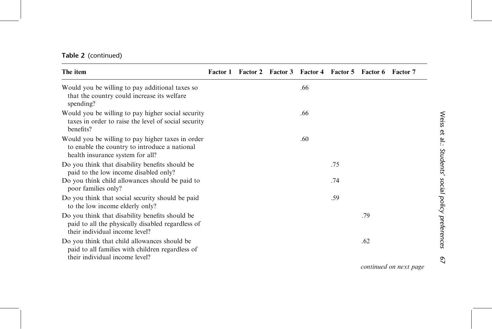Table 2 (continued)

| The item                                                                                                                               |  | Factor 1 Factor 2 Factor 3 Factor 4 Factor 5 Factor 6 Factor 7 |     |     |     |                        |
|----------------------------------------------------------------------------------------------------------------------------------------|--|----------------------------------------------------------------|-----|-----|-----|------------------------|
| Would you be willing to pay additional taxes so<br>that the country could increase its welfare<br>spending?                            |  |                                                                | .66 |     |     |                        |
| Would you be willing to pay higher social security<br>taxes in order to raise the level of social security<br>benefits?                |  |                                                                | .66 |     |     |                        |
| Would you be willing to pay higher taxes in order<br>to enable the country to introduce a national<br>health insurance system for all? |  |                                                                | .60 |     |     |                        |
| Do you think that disability benefits should be<br>paid to the low income disabled only?                                               |  |                                                                |     | .75 |     |                        |
| Do you think child allowances should be paid to<br>poor families only?                                                                 |  |                                                                |     | .74 |     |                        |
| Do you think that social security should be paid<br>to the low income elderly only?                                                    |  |                                                                |     | .59 |     |                        |
| Do you think that disability benefits should be<br>paid to all the physically disabled regardless of<br>their individual income level? |  |                                                                |     |     | .79 |                        |
| Do you think that child allowances should be<br>paid to all families with children regardless of<br>their individual income level?     |  |                                                                |     |     | .62 |                        |
|                                                                                                                                        |  |                                                                |     |     |     | continued on next page |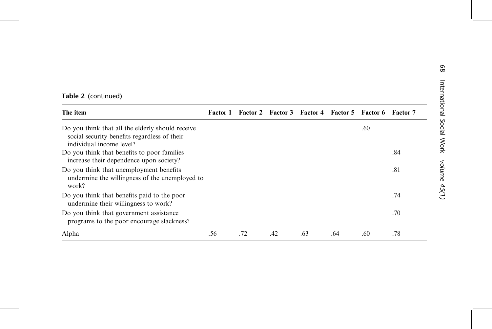|  | Table 2 (continued) |
|--|---------------------|
|--|---------------------|

| The item                                                                                                                     | <b>Factor</b> 1 |     |     |     | <b>Factor 2</b> Factor 3 Factor 4 Factor 5 Factor 6 Factor 7 |     |     |
|------------------------------------------------------------------------------------------------------------------------------|-----------------|-----|-----|-----|--------------------------------------------------------------|-----|-----|
| Do you think that all the elderly should receive<br>social security benefits regardless of their<br>individual income level? |                 |     |     |     |                                                              | .60 |     |
| Do you think that benefits to poor families<br>increase their dependence upon society?                                       |                 |     |     |     |                                                              |     | .84 |
| Do you think that unemployment benefits<br>undermine the willingness of the unemployed to<br>work?                           |                 |     |     |     |                                                              |     | .81 |
| Do you think that benefits paid to the poor<br>undermine their willingness to work?                                          |                 |     |     |     |                                                              |     | .74 |
| Do you think that government assistance<br>programs to the poor encourage slackness?                                         |                 |     |     |     |                                                              |     | .70 |
| Alpha                                                                                                                        | .56             | .72 | .42 | .63 | .64                                                          | .60 | .78 |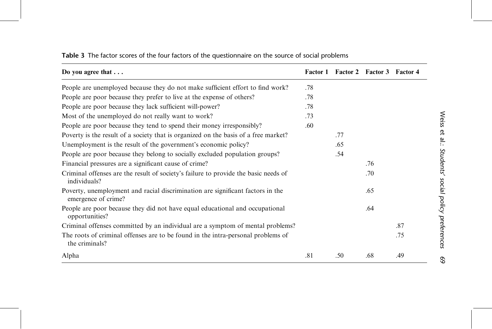| Do you agree that $\dots$                                                                             | <b>Factor 1</b> |     | Factor 2 Factor 3 Factor 4 |     |
|-------------------------------------------------------------------------------------------------------|-----------------|-----|----------------------------|-----|
| People are unemployed because they do not make sufficient effort to find work?                        | .78             |     |                            |     |
| People are poor because they prefer to live at the expense of others?                                 | .78             |     |                            |     |
| People are poor because they lack sufficient will-power?                                              | .78             |     |                            |     |
| Most of the unemployed do not really want to work?                                                    | .73             |     |                            |     |
| People are poor because they tend to spend their money irresponsibly?                                 | .60             |     |                            |     |
| Poverty is the result of a society that is organized on the basis of a free market?                   |                 | .77 |                            |     |
| Unemployment is the result of the government's economic policy?                                       |                 | .65 |                            |     |
| People are poor because they belong to socially excluded population groups?                           |                 | .54 |                            |     |
| Financial pressures are a significant cause of crime?                                                 |                 |     | .76                        |     |
| Criminal offenses are the result of society's failure to provide the basic needs of<br>individuals?   |                 |     | .70                        |     |
| Poverty, unemployment and racial discrimination are significant factors in the<br>emergence of crime? |                 |     | .65                        |     |
| People are poor because they did not have equal educational and occupational<br>opportunities?        |                 |     | .64                        |     |
| Criminal offenses committed by an individual are a symptom of mental problems?                        |                 |     |                            | .87 |
| The roots of criminal offenses are to be found in the intra-personal problems of<br>the criminals?    |                 |     |                            | .75 |
| Alpha                                                                                                 | .81             | .50 | .68                        | .49 |

#### Table 3 The factor scores of the four factors of the questionnaire on the source of social problems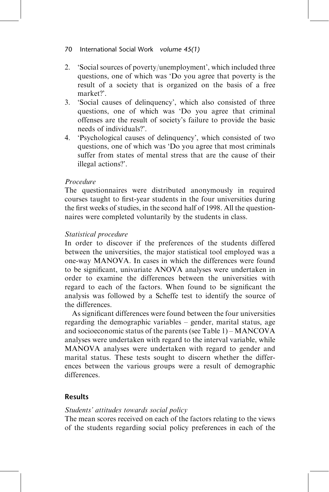#### 70 International Social Work volume 45(1)

- $2^{\circ}$ 'Social sources of poverty/unemployment', which included three questions, one of which was 'Do you agree that poverty is the result of a society that is organized on the basis of a free market?'.
- 3. 'Social causes of delinquency', which also consisted of three questions, one of which was 'Do you agree that criminal offenses are the result of society's failure to provide the basic needs of individuals?'.
- 'Psychological causes of delinquency', which consisted of two  $4<sup>1</sup>$ questions, one of which was 'Do you agree that most criminals suffer from states of mental stress that are the cause of their illegal actions?'.

#### $Procedure$

The questionnaires were distributed anonymously in required courses taught to first-year students in the four universities during the first weeks of studies, in the second half of 1998. All the questionnaires were completed voluntarily by the students in class.

#### Statistical procedure

In order to discover if the preferences of the students differed between the universities, the major statistical tool employed was a one-way MANOVA. In cases in which the differences were found to be significant, univariate ANOVA analyses were undertaken in order to examine the differences between the universities with regard to each of the factors. When found to be significant the analysis was followed by a Scheffe test to identify the source of the differences.

As significant differences were found between the four universities regarding the demographic variables – gender, marital status, age and socioeconomic status of the parents (see Table 1) – MANCOVA analyses were undertaken with regard to the interval variable, while MANOVA analyses were undertaken with regard to gender and marital status. These tests sought to discern whether the differences between the various groups were a result of demographic differences.

#### **Results**

#### Students' attitudes towards social policy

The mean scores received on each of the factors relating to the views of the students regarding social policy preferences in each of the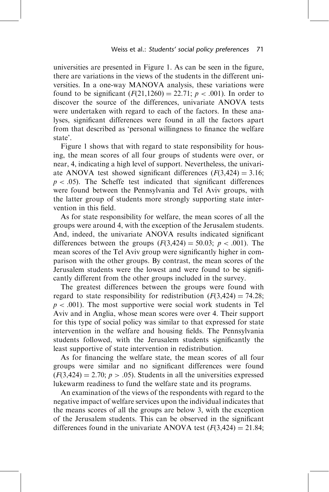universities are presented in Figure 1. As can be seen in the figure, there are variations in the views of the students in the different universities. In a one-way MANOVA analysis, these variations were found to be significant  $(F(21, 1260) = 22.71; p < .001)$ . In order to discover the source of the differences, univariate ANOVA tests were undertaken with regard to each of the factors. In these analyses, significant differences were found in all the factors apart from that described as 'personal willingness to finance the welfare state'.

Figure 1 shows that with regard to state responsibility for housing, the mean scores of all four groups of students were over, or near, 4, indicating a high level of support. Nevertheless, the univariate ANOVA test showed significant differences  $(F(3, 424) = 3.16)$ ;  $p < .05$ ). The Scheffe test indicated that significant differences were found between the Pennsylvania and Tel Aviv groups, with the latter group of students more strongly supporting state intervention in this field.

As for state responsibility for welfare, the mean scores of all the groups were around 4, with the exception of the Jerusalem students. And, indeed, the univariate ANOVA results indicated significant differences between the groups  $(F(3, 424) = 50.03; p < .001)$ . The mean scores of the Tel Aviv group were significantly higher in comparison with the other groups. By contrast, the mean scores of the Jerusalem students were the lowest and were found to be significantly different from the other groups included in the survey.

The greatest differences between the groups were found with regard to state responsibility for redistribution  $(F(3,424) = 74.28)$ ;  $p < .001$ ). The most supportive were social work students in Tel Aviv and in Anglia, whose mean scores were over 4. Their support for this type of social policy was similar to that expressed for state intervention in the welfare and housing fields. The Pennsylvania students followed, with the Jerusalem students significantly the least supportive of state intervention in redistribution.

As for financing the welfare state, the mean scores of all four groups were similar and no significant differences were found  $(F(3,424) = 2.70; p > .05)$ . Students in all the universities expressed lukewarm readiness to fund the welfare state and its programs.

An examination of the views of the respondents with regard to the negative impact of welfare services upon the individual indicates that the means scores of all the groups are below 3, with the exception of the Jerusalem students. This can be observed in the significant differences found in the univariate ANOVA test  $(F(3, 424) = 21.84$ ;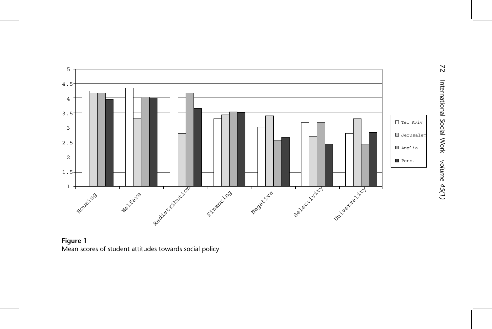

Figure 1 Mean scores of student attitudes towards social policy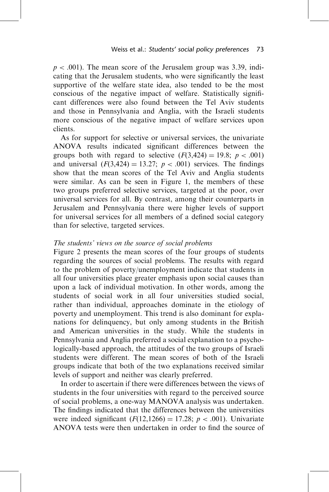$p < .001$ ). The mean score of the Jerusalem group was 3.39, indicating that the Jerusalem students, who were significantly the least supportive of the welfare state idea, also tended to be the most conscious of the negative impact of welfare. Statistically significant differences were also found between the Tel Aviv students and those in Pennsylvania and Anglia, with the Israeli students more conscious of the negative impact of welfare services upon clients.

As for support for selective or universal services, the univariate ANOVA results indicated significant differences between the groups both with regard to selective  $(F(3, 424) = 19.8; p < .001)$ and universal  $(F(3,424) = 13.27; p < .001)$  services. The findings show that the mean scores of the Tel Aviv and Anglia students were similar. As can be seen in Figure 1, the members of these two groups preferred selective services, targeted at the poor, over universal services for all. By contrast, among their counterparts in Jerusalem and Pennsylvania there were higher levels of support for universal services for all members of a defined social category than for selective, targeted services.

#### The students' views on the source of social problems

Figure 2 presents the mean scores of the four groups of students regarding the sources of social problems. The results with regard to the problem of poverty/unemployment indicate that students in all four universities place greater emphasis upon social causes than upon a lack of individual motivation. In other words, among the students of social work in all four universities studied social. rather than individual, approaches dominate in the etiology of poverty and unemployment. This trend is also dominant for explanations for delinquency, but only among students in the British and American universities in the study. While the students in Pennsylvania and Anglia preferred a social explanation to a psychologically-based approach, the attitudes of the two groups of Israeli students were different. The mean scores of both of the Israeli groups indicate that both of the two explanations received similar levels of support and neither was clearly preferred.

In order to ascertain if there were differences between the views of students in the four universities with regard to the perceived source of social problems, a one-way MANOVA analysis was undertaken. The findings indicated that the differences between the universities were indeed significant  $(F(12, 1266) = 17.28; p < .001)$ . Univariate ANOVA tests were then undertaken in order to find the source of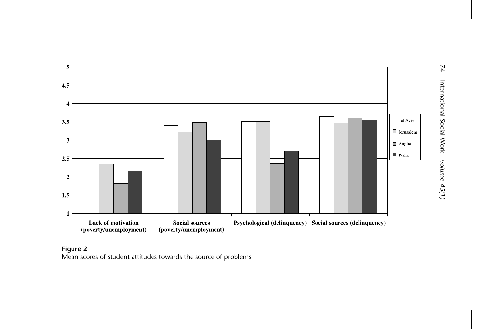

Mean scores of student attitudes towards the source of problems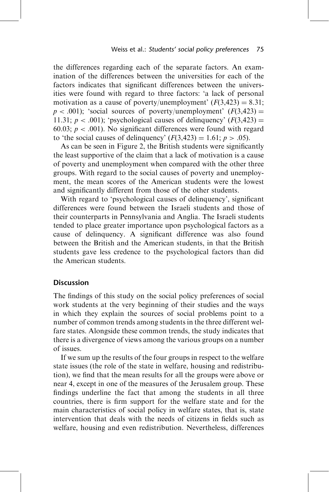the differences regarding each of the separate factors. An examination of the differences between the universities for each of the factors indicates that significant differences between the universities were found with regard to three factors: 'a lack of personal motivation as a cause of poverty/unemployment'  $(F(3, 423) = 8.31)$ ;  $p < .001$ ); 'social sources of poverty/unemployment'  $(F(3, 423) =$ 11.31;  $p < .001$ ); 'psychological causes of delinquency'  $(F(3, 423) =$ 60.03;  $p < .001$ ). No significant differences were found with regard to 'the social causes of delinquency'  $(F(3, 423) = 1.61; p > .05)$ .

As can be seen in Figure 2, the British students were significantly the least supportive of the claim that a lack of motivation is a cause of poverty and unemployment when compared with the other three groups. With regard to the social causes of poverty and unemployment, the mean scores of the American students were the lowest and significantly different from those of the other students.

With regard to 'psychological causes of delinquency', significant differences were found between the Israeli students and those of their counterparts in Pennsylvania and Anglia. The Israeli students tended to place greater importance upon psychological factors as a cause of delinquency. A significant difference was also found between the British and the American students, in that the British students gave less credence to the psychological factors than did the American students

#### **Discussion**

The findings of this study on the social policy preferences of social work students at the very beginning of their studies and the ways in which they explain the sources of social problems point to a number of common trends among students in the three different welfare states. Alongside these common trends, the study indicates that there is a divergence of views among the various groups on a number of issues.

If we sum up the results of the four groups in respect to the welfare state issues (the role of the state in welfare, housing and redistribution), we find that the mean results for all the groups were above or near 4, except in one of the measures of the Jerusalem group. These findings underline the fact that among the students in all three countries, there is firm support for the welfare state and for the main characteristics of social policy in welfare states, that is, state intervention that deals with the needs of citizens in fields such as welfare, housing and even redistribution. Nevertheless, differences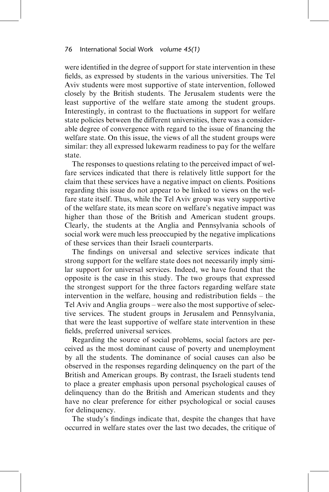were identified in the degree of support for state intervention in these fields, as expressed by students in the various universities. The Tel Aviv students were most supportive of state intervention, followed closely by the British students. The Jerusalem students were the least supportive of the welfare state among the student groups. Interestingly, in contrast to the fluctuations in support for welfare state policies between the different universities, there was a considerable degree of convergence with regard to the issue of financing the welfare state. On this issue, the views of all the student groups were similar: they all expressed lukewarm readiness to pay for the welfare state.

The responses to questions relating to the perceived impact of welfare services indicated that there is relatively little support for the claim that these services have a negative impact on clients. Positions regarding this issue do not appear to be linked to views on the welfare state itself. Thus, while the Tel Aviv group was very supportive of the welfare state, its mean score on welfare's negative impact was higher than those of the British and American student groups. Clearly, the students at the Anglia and Pennsylvania schools of social work were much less preoccupied by the negative implications of these services than their Israeli counterparts.

The findings on universal and selective services indicate that strong support for the welfare state does not necessarily imply similar support for universal services. Indeed, we have found that the opposite is the case in this study. The two groups that expressed the strongest support for the three factors regarding welfare state intervention in the welfare, housing and redistribution fields  $-$  the Tel Aviv and Anglia groups – were also the most supportive of selective services. The student groups in Jerusalem and Pennsylvania, that were the least supportive of welfare state intervention in these fields, preferred universal services.

Regarding the source of social problems, social factors are perceived as the most dominant cause of poverty and unemployment by all the students. The dominance of social causes can also be observed in the responses regarding delinquency on the part of the British and American groups. By contrast, the Israeli students tend to place a greater emphasis upon personal psychological causes of delinquency than do the British and American students and they have no clear preference for either psychological or social causes for delinquency.

The study's findings indicate that, despite the changes that have occurred in welfare states over the last two decades, the critique of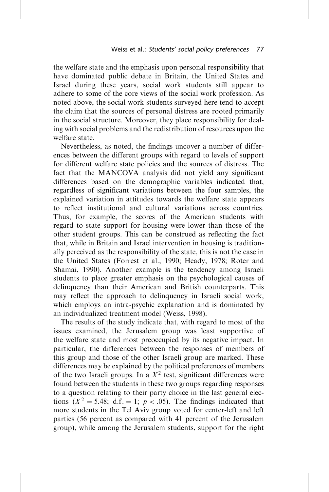the welfare state and the emphasis upon personal responsibility that have dominated public debate in Britain, the United States and Israel during these years, social work students still appear to adhere to some of the core views of the social work profession. As noted above, the social work students surveyed here tend to accept the claim that the sources of personal distress are rooted primarily in the social structure. Moreover, they place responsibility for dealing with social problems and the redistribution of resources upon the welfare state.

Nevertheless, as noted, the findings uncover a number of differences between the different groups with regard to levels of support for different welfare state policies and the sources of distress. The fact that the MANCOVA analysis did not yield any significant differences based on the demographic variables indicated that. regardless of significant variations between the four samples, the explained variation in attitudes towards the welfare state appears to reflect institutional and cultural variations across countries. Thus, for example, the scores of the American students with regard to state support for housing were lower than those of the other student groups. This can be construed as reflecting the fact that, while in Britain and Israel intervention in housing is traditionally perceived as the responsibility of the state, this is not the case in the United States (Forrest et al., 1990; Heady, 1978; Roter and Shamai, 1990). Another example is the tendency among Israeli students to place greater emphasis on the psychological causes of delinquency than their American and British counterparts. This may reflect the approach to delinquency in Israeli social work, which employs an intra-psychic explanation and is dominated by an individualized treatment model (Weiss, 1998).

The results of the study indicate that, with regard to most of the issues examined, the Jerusalem group was least supportive of the welfare state and most preoccupied by its negative impact. In particular, the differences between the responses of members of this group and those of the other Israeli group are marked. These differences may be explained by the political preferences of members of the two Israeli groups. In a  $X^2$  test, significant differences were found between the students in these two groups regarding responses to a question relating to their party choice in the last general elections  $(X^2 = 5.48; d.f. = 1; p < .05)$ . The findings indicated that more students in the Tel Aviv group voted for center-left and left parties (56 percent as compared with 41 percent of the Jerusalem group), while among the Jerusalem students, support for the right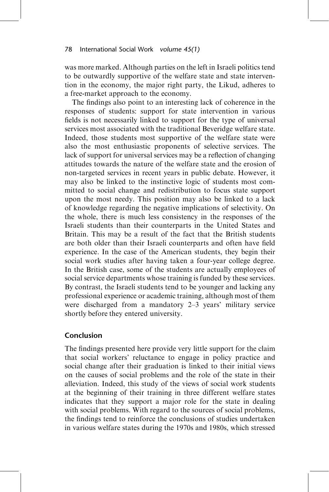was more marked. Although parties on the left in Israeli politics tend to be outwardly supportive of the welfare state and state intervention in the economy, the major right party, the Likud, adheres to a free-market approach to the economy.

The findings also point to an interesting lack of coherence in the responses of students: support for state intervention in various fields is not necessarily linked to support for the type of universal services most associated with the traditional Beveridge welfare state. Indeed, those students most supportive of the welfare state were also the most enthusiastic proponents of selective services. The lack of support for universal services may be a reflection of changing attitudes towards the nature of the welfare state and the erosion of non-targeted services in recent years in public debate. However, it may also be linked to the instinctive logic of students most committed to social change and redistribution to focus state support upon the most needy. This position may also be linked to a lack of knowledge regarding the negative implications of selectivity. On the whole, there is much less consistency in the responses of the Israeli students than their counterparts in the United States and Britain. This may be a result of the fact that the British students are both older than their Israeli counterparts and often have field experience. In the case of the American students, they begin their social work studies after having taken a four-year college degree. In the British case, some of the students are actually employees of social service departments whose training is funded by these services. By contrast, the Israeli students tend to be younger and lacking any professional experience or academic training, although most of them were discharged from a mandatory  $2-3$  years' military service shortly before they entered university.

### Conclusion

The findings presented here provide very little support for the claim that social workers' reluctance to engage in policy practice and social change after their graduation is linked to their initial views on the causes of social problems and the role of the state in their alleviation. Indeed, this study of the views of social work students at the beginning of their training in three different welfare states indicates that they support a major role for the state in dealing with social problems. With regard to the sources of social problems, the findings tend to reinforce the conclusions of studies undertaken in various welfare states during the 1970s and 1980s, which stressed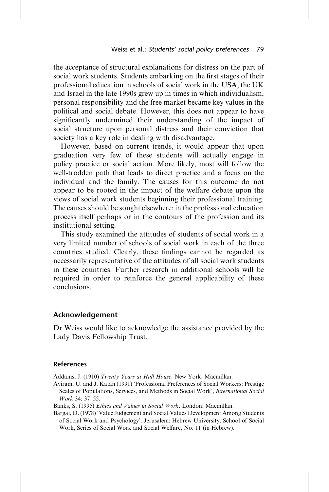the acceptance of structural explanations for distress on the part of social work students. Students embarking on the first stages of their professional education in schools of social work in the USA, the UK and Israel in the late 1990s grew up in times in which individualism, personal responsibility and the free market became key values in the political and social debate. However, this does not appear to have significantly undermined their understanding of the impact of social structure upon personal distress and their conviction that society has a key role in dealing with disadvantage.

However, based on current trends, it would appear that upon graduation very few of these students will actually engage in policy practice or social action. More likely, most will follow the well-trodden path that leads to direct practice and a focus on the individual and the family. The causes for this outcome do not appear to be rooted in the impact of the welfare debate upon the views of social work students beginning their professional training. The causes should be sought elsewhere: in the professional education process itself perhaps or in the contours of the profession and its institutional setting.

This study examined the attitudes of students of social work in a very limited number of schools of social work in each of the three countries studied. Clearly, these findings cannot be regarded as necessarily representative of the attitudes of all social work students in these countries. Further research in additional schools will be required in order to reinforce the general applicability of these conclusions

#### Acknowledgement

Dr Weiss would like to acknowledge the assistance provided by the Lady Davis Fellowship Trust.

#### **References**

Addams, J. (1910) Twenty Years at Hull House. New York: Macmillan.

Aviram, U. and J. Katan (1991) 'Professional Preferences of Social Workers: Prestige Scales of Populations, Services, and Methods in Social Work', *International Social* Work 34: 37-55.

Banks, S. (1995) Ethics and Values in Social Work. London: Macmillan.

Bargal, D. (1978) 'Value Judgement and Social Values Development Among Students of Social Work and Psychology'. Jerusalem: Hebrew University, School of Social Work, Series of Social Work and Social Welfare, No. 11 (in Hebrew).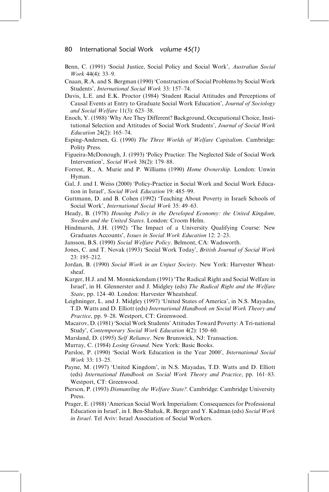- Benn, C. (1991) 'Social Justice, Social Policy and Social Work', Australian Social Work 44(4): 33-9.
- Cnaan, R.A. and S. Bergman (1990) 'Construction of Social Problems by Social Work Students', International Social Work 33: 157-74.
- Davis, L.E. and E.K. Proctor (1984) 'Student Racial Attitudes and Perceptions of Causal Events at Entry to Graduate Social Work Education', Journal of Sociology and Social Welfare 11(3): 623-38.
- Enoch, Y. (1988) 'Why Are They Different? Background, Occupational Choice, Institutional Selection and Attitudes of Social Work Students', Journal of Social Work Education 24(2): 165-74.
- Esping-Andersen, G. (1990) The Three Worlds of Welfare Capitalism. Cambridge: Polity Press.
- Figueira-McDonough, J. (1993) 'Policy Practice: The Neglected Side of Social Work Intervention', Social Work 38(2): 179-88.
- Forrest, R., A. Murie and P. Williams (1990) Home Ownership. London: Unwin Hyman.
- Gal, J. and I. Weiss (2000) 'Policy-Practice in Social Work and Social Work Education in Israel', Social Work Education 19: 485-99.
- Guttmann, D. and B. Cohen (1992) 'Teaching About Poverty in Israeli Schools of Social Work', International Social Work 35: 49-63.
- Heady, B. (1978) Housing Policy in the Developed Economy: the United Kingdom, Sweden and the United States. London: Croom Helm.
- Hindmarsh, J.H. (1992) 'The Impact of a University Qualifying Course: New Graduates Accounts', Issues in Social Work Education 12: 2-23.
- Jansson, B.S. (1990) Social Welfare Policy. Belmont, CA: Wadsworth.
- Jones, C. and T. Novak (1993) 'Social Work Today', British Journal of Social Work 23: 195-212.
- Jordan, B. (1990) Social Work in an Unjust Society. New York: Harvester Wheatsheaf.
- Karger, H.J. and M. Monnickendam (1991) 'The Radical Right and Social Welfare in Israel', in H. Glennerster and J. Midgley (eds) The Radical Right and the Welfare State, pp. 124–40. London: Harvester Wheatsheaf.
- Leighninger, L. and J. Midgley (1997) 'United States of America', in N.S. Mayadas, T.D. Watts and D. Elliott (eds) International Handbook on Social Work Theory and Practice, pp. 9-28. Westport, CT: Greenwood.
- Macarov, D. (1981) 'Social Work Students' Attitudes Toward Poverty: A Tri-national Study', Contemporary Social Work Education 4(2): 150-60.
- Marsland, D. (1995) Self Reliance. New Brunswick, NJ: Transaction.
- Murray, C. (1984) Losing Ground. New York: Basic Books.
- Parsloe, P. (1990) 'Social Work Education in the Year 2000', International Social Work 33: 13-25.
- Payne, M. (1997) 'United Kingdom', in N.S. Mayadas, T.D. Watts and D. Elliott (eds) International Handbook on Social Work Theory and Practice, pp. 161–83. Westport, CT: Greenwood.
- Pierson, P. (1993) Dismantling the Welfare State?. Cambridge: Cambridge University Press.
- Prager, E. (1988) 'American Social Work Imperialism: Consequences for Professional Education in Israel', in I. Ben-Shahak, R. Berger and Y. Kadman (eds) Social Work in Israel. Tel Aviv: Israel Association of Social Workers.